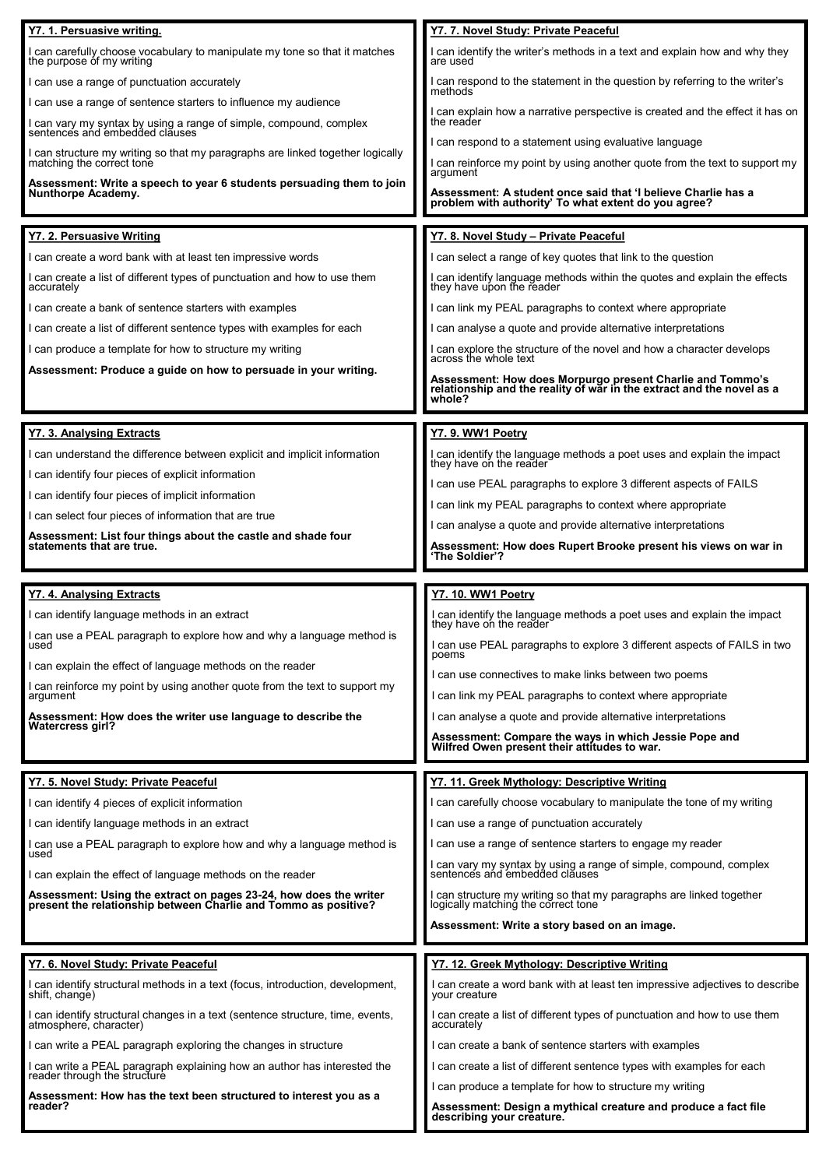| Y7. 1. Persuasive writing.                                                                                                                                                            | Y7. 7. Novel Study: Private Peaceful                                                                                                                                       |
|---------------------------------------------------------------------------------------------------------------------------------------------------------------------------------------|----------------------------------------------------------------------------------------------------------------------------------------------------------------------------|
| I can carefully choose vocabulary to manipulate my tone so that it matches the purpose of my writing                                                                                  | can identify the writer's methods in a text and explain how and why they<br>are used                                                                                       |
| I can use a range of punctuation accurately                                                                                                                                           | I can respond to the statement in the question by referring to the writer's<br>methods                                                                                     |
| I can use a range of sentence starters to influence my audience                                                                                                                       | can explain how a narrative perspective is created and the effect it has on                                                                                                |
| I can vary my syntax by using a range of simple, compound, complex sentences and embedded clauses                                                                                     | the reader<br>can respond to a statement using evaluative language                                                                                                         |
| can structure my writing so that my paragraphs are linked together logically<br>matching the correct tone                                                                             | can reinforce my point by using another quote from the text to support my<br>argument                                                                                      |
| Assessment: Write a speech to year 6 students persuading them to join<br>Nunthorpe Academy.                                                                                           | Assessment: A student once said that 'I believe Charlie has a<br>problem with authority' To what extent do you agree?                                                      |
| Y7. 2. Persuasive Writing                                                                                                                                                             | Y7. 8. Novel Study - Private Peaceful                                                                                                                                      |
| can create a word bank with at least ten impressive words                                                                                                                             | I can select a range of key quotes that link to the question                                                                                                               |
| I can create a list of different types of punctuation and how to use them<br>accurately                                                                                               | can identify language methods within the quotes and explain the effects<br>they have upon the reader                                                                       |
| I can create a bank of sentence starters with examples                                                                                                                                | I can link my PEAL paragraphs to context where appropriate                                                                                                                 |
| I can create a list of different sentence types with examples for each                                                                                                                | can analyse a quote and provide alternative interpretations                                                                                                                |
| I can produce a template for how to structure my writing                                                                                                                              | I can explore the structure of the novel and how a character develops across the whole text                                                                                |
| Assessment: Produce a guide on how to persuade in your writing.                                                                                                                       | Assessment: How does Morpurgo present Charlie and Tommo's<br>relationship and the reality of war in the extract and the novel as a<br>whole?                               |
|                                                                                                                                                                                       |                                                                                                                                                                            |
| Y7. 3. Analysing Extracts<br>I can understand the difference between explicit and implicit information                                                                                | Y7. 9. WW1 Poetry                                                                                                                                                          |
| I can identify four pieces of explicit information                                                                                                                                    | I can identify the language methods a poet uses and explain the impact<br>they have on the reader                                                                          |
| I can identify four pieces of implicit information                                                                                                                                    | I can use PEAL paragraphs to explore 3 different aspects of FAILS                                                                                                          |
| I can select four pieces of information that are true                                                                                                                                 | can link my PEAL paragraphs to context where appropriate                                                                                                                   |
| Assessment: List four things about the castle and shade four<br>statements that are true.                                                                                             | can analyse a quote and provide alternative interpretations                                                                                                                |
|                                                                                                                                                                                       | Assessment: How does Rupert Brooke present his views on war in<br>'The Soldier'?                                                                                           |
|                                                                                                                                                                                       |                                                                                                                                                                            |
| Y7. 4. Analysing Extracts                                                                                                                                                             | Y7. 10. WW1 Poetry                                                                                                                                                         |
| I can identify language methods in an extract                                                                                                                                         |                                                                                                                                                                            |
| I can use a PEAL paragraph to explore how and why a language method is<br>used                                                                                                        | I can identify the language methods a poet uses and explain the impact they have on the reader<br>I can use PEAL paragraphs to explore 3 different aspects of FAILS in two |
| I can explain the effect of language methods on the reader                                                                                                                            | poems                                                                                                                                                                      |
| I can reinforce my point by using another quote from the text to support my                                                                                                           | I can use connectives to make links between two poems                                                                                                                      |
| argument                                                                                                                                                                              | I can link my PEAL paragraphs to context where appropriate<br>I can analyse a quote and provide alternative interpretations                                                |
| Assessment: How does the writer use language to describe the<br><b>Watercress girl?</b>                                                                                               | Assessment: Compare the ways in which Jessie Pope and                                                                                                                      |
|                                                                                                                                                                                       | Wilfred Owen present their attitudes to war.                                                                                                                               |
| Y7. 5. Novel Study: Private Peaceful                                                                                                                                                  | Y7. 11. Greek Mythology: Descriptive Writing                                                                                                                               |
| I can identify 4 pieces of explicit information                                                                                                                                       | can carefully choose vocabulary to manipulate the tone of my writing                                                                                                       |
| I can identify language methods in an extract                                                                                                                                         | I can use a range of punctuation accurately                                                                                                                                |
| I can use a PEAL paragraph to explore how and why a language method is<br>used                                                                                                        | can use a range of sentence starters to engage my reader                                                                                                                   |
| I can explain the effect of language methods on the reader                                                                                                                            | I can vary my syntax by using a range of simple, compound, complex sentences and embedded clauses                                                                          |
| Assessment: Using the extract on pages 23-24, how does the writer<br>present the relationship between Charlie and Tommo as positive?                                                  | l can structure my writing so that my paragraphs are linked together<br>logically matching the correct tone                                                                |
|                                                                                                                                                                                       | Assessment: Write a story based on an image.                                                                                                                               |
| Y7. 6. Novel Study: Private Peaceful                                                                                                                                                  | <u> Y7. 12. Greek Mythology: Descriptive Writing</u>                                                                                                                       |
| I can identify structural methods in a text (focus, introduction, development,<br>shift, change)                                                                                      | I can create a word bank with at least ten impressive adjectives to describe<br>vour creature                                                                              |
| I can identify structural changes in a text (sentence structure, time, events,<br>atmosphere, character)                                                                              | I can create a list of different types of punctuation and how to use them<br>accurately                                                                                    |
| I can write a PEAL paragraph exploring the changes in structure                                                                                                                       | I can create a bank of sentence starters with examples                                                                                                                     |
|                                                                                                                                                                                       | I can create a list of different sentence types with examples for each                                                                                                     |
| I can write a PEAL paragraph explaining how an author has interested the reader through the structure<br>Assessment: How has the text been structured to interest you as a<br>reader? | I can produce a template for how to structure my writing<br>Assessment: Design a mythical creature and produce a fact file                                                 |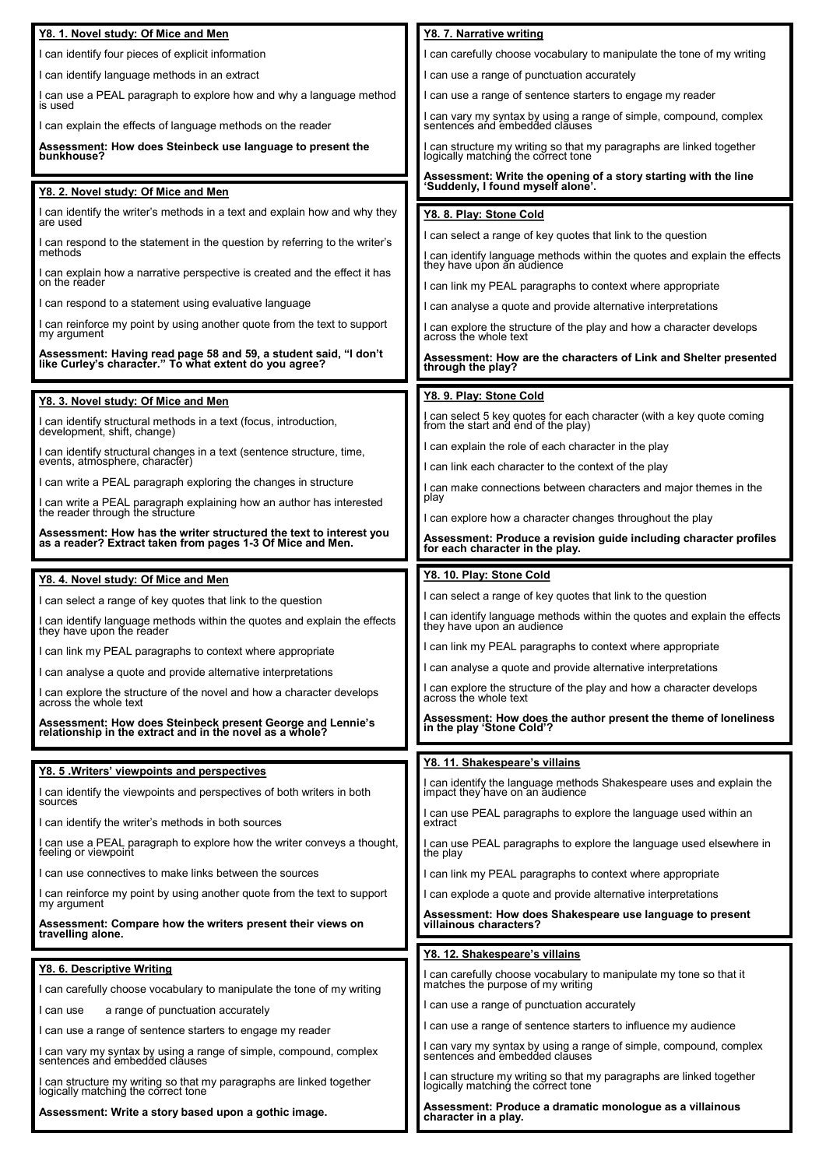| Y8. 1. Novel study: Of Mice and Men                                                                                              | Y8. 7. Narrative writing                                                                                                                                                |
|----------------------------------------------------------------------------------------------------------------------------------|-------------------------------------------------------------------------------------------------------------------------------------------------------------------------|
| I can identify four pieces of explicit information                                                                               | can carefully choose vocabulary to manipulate the tone of my writing                                                                                                    |
| I can identify language methods in an extract                                                                                    | can use a range of punctuation accurately                                                                                                                               |
| I can use a PEAL paragraph to explore how and why a language method<br>is used                                                   | can use a range of sentence starters to engage my reader                                                                                                                |
| I can explain the effects of language methods on the reader                                                                      | I can vary my syntax by using a range of simple, compound, complex<br>sentences and embedded clauses                                                                    |
| Assessment: How does Steinbeck use language to present the<br>bunkhouse?                                                         | I can structure my writing so that my paragraphs are linked together<br>logically matching the correct tone                                                             |
|                                                                                                                                  | Assessment: Write the opening of a story starting with the line                                                                                                         |
| Y8. 2. Novel study: Of Mice and Men                                                                                              | 'Suddenly, I found myself alone'.                                                                                                                                       |
| I can identify the writer's methods in a text and explain how and why they<br>are used                                           | Y8. 8. Play: Stone Cold                                                                                                                                                 |
| I can respond to the statement in the question by referring to the writer's<br>methods                                           | can select a range of key quotes that link to the question                                                                                                              |
| I can explain how a narrative perspective is created and the effect it has<br>on the reader                                      | I can identify language methods within the quotes and explain the effects they have upon an audience                                                                    |
| I can respond to a statement using evaluative language                                                                           | can link my PEAL paragraphs to context where appropriate                                                                                                                |
| I can reinforce my point by using another quote from the text to support                                                         | can analyse a quote and provide alternative interpretations                                                                                                             |
| my argument                                                                                                                      | I can explore the structure of the play and how a character develops across the whole text                                                                              |
| Assessment: Having read page 58 and 59, a student said, "I don't<br>like Curley's character." To what extent do you agree?       | Assessment: How are the characters of Link and Shelter presented<br>through the play?                                                                                   |
| Y8. 3. Novel study: Of Mice and Men                                                                                              | Y8. 9. Play: Stone Cold                                                                                                                                                 |
| I can identify structural methods in a text (focus, introduction,<br>development, shift, change)                                 | I can select 5 key quotes for each character (with a key quote coming<br>from the start and end of the play)                                                            |
| I can identify structural changes in a text (sentence structure, time,                                                           | can explain the role of each character in the play                                                                                                                      |
| events, atmosphere, character)                                                                                                   | I can link each character to the context of the play                                                                                                                    |
| I can write a PEAL paragraph exploring the changes in structure                                                                  | can make connections between characters and major themes in the                                                                                                         |
| I can write a PEAL paragraph explaining how an author has interested<br>the reader through the structure                         | play<br>can explore how a character changes throughout the play                                                                                                         |
| Assessment: How has the writer structured the text to interest you<br>as a reader? Extract taken from pages 1-3 Of Mice and Men. | Assessment: Produce a revision guide including character profiles                                                                                                       |
|                                                                                                                                  | for each character in the play.                                                                                                                                         |
| Y8. 4. Novel study: Of Mice and Men                                                                                              | Y8. 10. Play: Stone Cold                                                                                                                                                |
| I can select a range of key quotes that link to the question                                                                     | can select a range of key quotes that link to the question                                                                                                              |
| I can identify language methods within the quotes and explain the effects they have upon the reader                              | l can identify language methods within the quotes and explain the effects<br>they have upon an audience                                                                 |
|                                                                                                                                  | can link my PEAL paragraphs to context where appropriate                                                                                                                |
| I can link my PEAL paragraphs to context where appropriate                                                                       | I can analyse a quote and provide alternative interpretations                                                                                                           |
| I can analyse a quote and provide alternative interpretations                                                                    |                                                                                                                                                                         |
| I can explore the structure of the novel and how a character develops<br>across the whole text                                   | I can explore the structure of the play and how a character develops<br>across the whole text                                                                           |
| Assessment: How does Steinbeck present George and Lennie's<br>relationship in the extract and in the novel as a whole?           | Assessment: How does the author present the theme of loneliness<br>in the play 'Stone Cold'?                                                                            |
|                                                                                                                                  | Y8. 11. Shakespeare's villains                                                                                                                                          |
| Y8. 5 . Writers' viewpoints and perspectives                                                                                     | I can identify the language methods Shakespeare uses and explain the impact they have on an audience                                                                    |
| I can identify the viewpoints and perspectives of both writers in both<br>sources                                                |                                                                                                                                                                         |
| I can identify the writer's methods in both sources                                                                              | can use PEAL paragraphs to explore the language used within an<br>extract                                                                                               |
| I can use a PEAL paragraph to explore how the writer conveys a thought,<br>feeling or viewpoint                                  | I can use PEAL paragraphs to explore the language used elsewhere in<br>the play                                                                                         |
| I can use connectives to make links between the sources                                                                          | I can link my PEAL paragraphs to context where appropriate                                                                                                              |
| I can reinforce my point by using another quote from the text to support<br>my argument                                          | can explode a quote and provide alternative interpretations                                                                                                             |
| Assessment: Compare how the writers present their views on<br>travelling alone.                                                  | Assessment: How does Shakespeare use language to present<br>villainous characters?                                                                                      |
|                                                                                                                                  | Y8. 12. Shakespeare's villains                                                                                                                                          |
| Y8. 6. Descriptive Writing                                                                                                       |                                                                                                                                                                         |
|                                                                                                                                  | can carefully choose vocabulary to manipulate my tone so that it                                                                                                        |
| I can carefully choose vocabulary to manipulate the tone of my writing                                                           | matches the purpose of my writing                                                                                                                                       |
| I can use<br>a range of punctuation accurately                                                                                   | can use a range of punctuation accurately                                                                                                                               |
| I can use a range of sentence starters to engage my reader                                                                       | can use a range of sentence starters to influence my audience                                                                                                           |
| I can vary my syntax by using a range of simple, compound, complex sentences and embedded clauses                                | I can vary my syntax by using a range of simple, compound, complex<br>sentences and embedded clauses                                                                    |
| I can structure my writing so that my paragraphs are linked together<br>logically matching the correct tone                      | I can structure my writing so that my paragraphs are linked together<br>logically matching the correct tone<br>Assessment: Produce a dramatic monologue as a villainous |